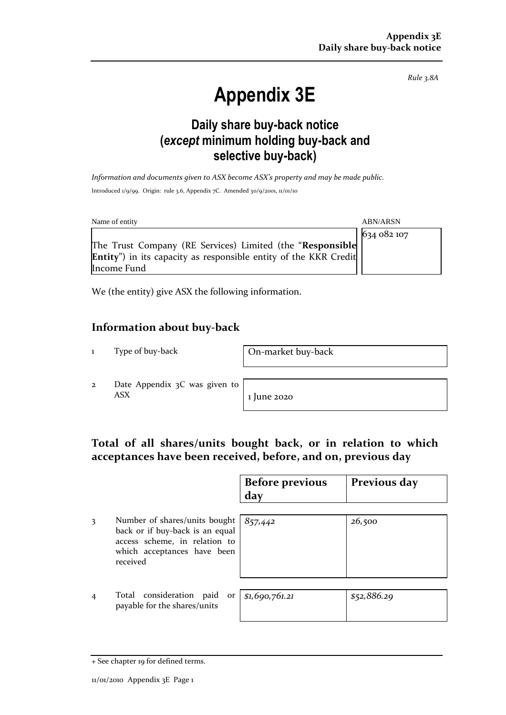*Rule 3.8A*

# **Appendix 3E**

# **Daily share buy-back notice (***except* **minimum holding buy-back and selective buy-back)**

*Information and documents given to ASX become ASX's property and may be made public.* Introduced 1/9/99. Origin: rule 3.6, Appendix 7C. Amended 30/9/2001, 11/01/10

| Name of entity                                                                          | <b>ABN/ARSN</b> |
|-----------------------------------------------------------------------------------------|-----------------|
|                                                                                         | 634 082 107     |
| The Trust Company (RE Services) Limited (the "Responsible                               |                 |
| <b>Entity</b> ") in its capacity as responsible entity of the KKR Credit<br>Income Fund |                 |

We (the entity) give ASX the following information.

### **Information about buy-back**

1 Type of buy-back On-market buy-back

2 Date Appendix 3C was given to  $\overline{ABX}$  1 June 2020

## **Total of all shares/units bought back, or in relation to which acceptances have been received, before, and on, previous day**

|   |                                                                                                                                              | <b>Before previous</b><br>day | Previous day |
|---|----------------------------------------------------------------------------------------------------------------------------------------------|-------------------------------|--------------|
|   | Number of shares/units bought<br>back or if buy-back is an equal<br>access scheme, in relation to<br>which acceptances have been<br>received | 857,442                       | 26,500       |
| 4 | Total consideration paid or<br>payable for the shares/units                                                                                  | \$1,690,761.21                | \$52,886.29  |

<sup>+</sup> See chapter 19 for defined terms.